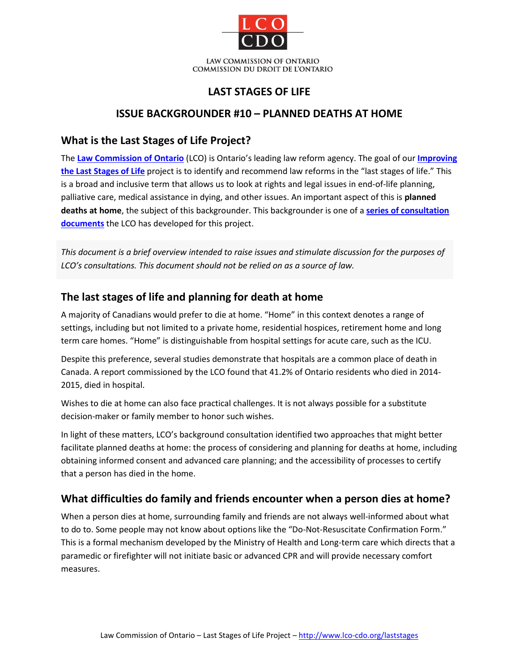

### **LAST STAGES OF LIFE**

### **ISSUE BACKGROUNDER #10 – PLANNED DEATHS AT HOME**

#### **What is the Last Stages of Life Project?**

The **[Law Commission of Ontario](http://www.lco-cdo.org/)** (LCO) is Ontario's leading law reform agency. The goal of our **[Improving](http://www.lco-cdo.org/laststages)  [the Last Stages of Life](http://www.lco-cdo.org/laststages)** project is to identify and recommend law reforms in the "last stages of life." This is a broad and inclusive term that allows us to look at rights and legal issues in end-of-life planning, palliative care, medical assistance in dying, and other issues. An important aspect of this is **planned deaths at home**, the subject of this backgrounder. This backgrounder is one of a **[series of consultation](http://www.lco-cdo.org/laststages)  [documents](http://www.lco-cdo.org/laststages)** the LCO has developed for this project.

*This document is a brief overview intended to raise issues and stimulate discussion for the purposes of LCO's consultations. This document should not be relied on as a source of law.*

# **The last stages of life and planning for death at home**

A majority of Canadians would prefer to die at home. "Home" in this context denotes a range of settings, including but not limited to a private home, residential hospices, retirement home and long term care homes. "Home" is distinguishable from hospital settings for acute care, such as the ICU.

Despite this preference, several studies demonstrate that hospitals are a common place of death in Canada. A report commissioned by the LCO found that 41.2% of Ontario residents who died in 2014- 2015, died in hospital.

Wishes to die at home can also face practical challenges. It is not always possible for a substitute decision-maker or family member to honor such wishes.

In light of these matters, LCO's background consultation identified two approaches that might better facilitate planned deaths at home: the process of considering and planning for deaths at home, including obtaining informed consent and advanced care planning; and the accessibility of processes to certify that a person has died in the home.

# **What difficulties do family and friends encounter when a person dies at home?**

When a person dies at home, surrounding family and friends are not always well-informed about what to do to. Some people may not know about options like the "Do-Not-Resuscitate Confirmation Form." This is a formal mechanism developed by the Ministry of Health and Long-term care which directs that a paramedic or firefighter will not initiate basic or advanced CPR and will provide necessary comfort measures.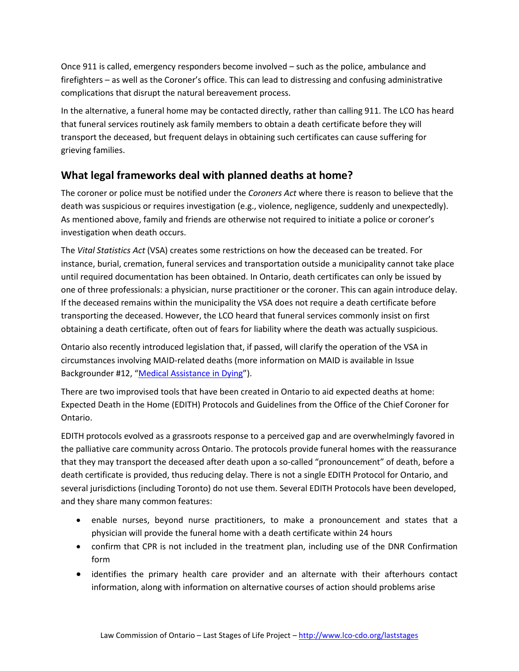Once 911 is called, emergency responders become involved – such as the police, ambulance and firefighters – as well as the Coroner's office. This can lead to distressing and confusing administrative complications that disrupt the natural bereavement process.

In the alternative, a funeral home may be contacted directly, rather than calling 911. The LCO has heard that funeral services routinely ask family members to obtain a death certificate before they will transport the deceased, but frequent delays in obtaining such certificates can cause suffering for grieving families.

# **What legal frameworks deal with planned deaths at home?**

The coroner or police must be notified under the *Coroners Act* where there is reason to believe that the death was suspicious or requires investigation (e.g., violence, negligence, suddenly and unexpectedly). As mentioned above, family and friends are otherwise not required to initiate a police or coroner's investigation when death occurs.

The *Vital Statistics Act* (VSA) creates some restrictions on how the deceased can be treated. For instance, burial, cremation, funeral services and transportation outside a municipality cannot take place until required documentation has been obtained. In Ontario, death certificates can only be issued by one of three professionals: a physician, nurse practitioner or the coroner. This can again introduce delay. If the deceased remains within the municipality the VSA does not require a death certificate before transporting the deceased. However, the LCO heard that funeral services commonly insist on first obtaining a death certificate, often out of fears for liability where the death was actually suspicious.

Ontario also recently introduced legislation that, if passed, will clarify the operation of the VSA in circumstances involving MAID-related deaths (more information on MAID is available in Issue Backgrounder #12, ["Medical Assistance in Dying"](http://www.lco-cdo.org/laststages)).

There are two improvised tools that have been created in Ontario to aid expected deaths at home: Expected Death in the Home (EDITH) Protocols and Guidelines from the Office of the Chief Coroner for Ontario.

EDITH protocols evolved as a grassroots response to a perceived gap and are overwhelmingly favored in the palliative care community across Ontario. The protocols provide funeral homes with the reassurance that they may transport the deceased after death upon a so-called "pronouncement" of death, before a death certificate is provided, thus reducing delay. There is not a single EDITH Protocol for Ontario, and several jurisdictions (including Toronto) do not use them. Several EDITH Protocols have been developed, and they share many common features:

- enable nurses, beyond nurse practitioners, to make a pronouncement and states that a physician will provide the funeral home with a death certificate within 24 hours
- confirm that CPR is not included in the treatment plan, including use of the DNR Confirmation form
- identifies the primary health care provider and an alternate with their afterhours contact information, along with information on alternative courses of action should problems arise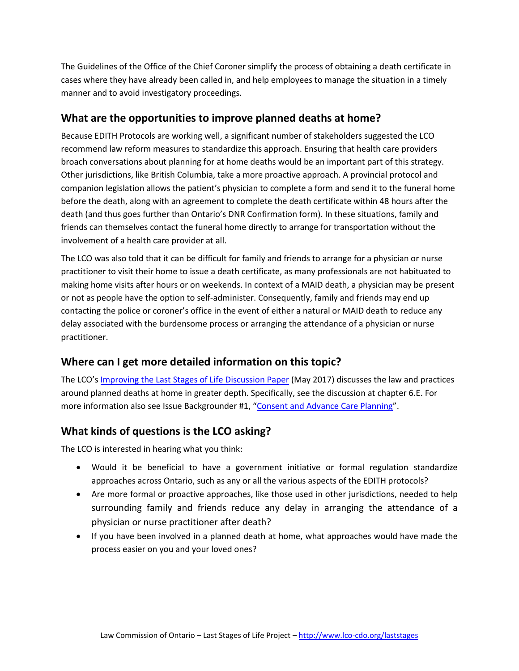The Guidelines of the Office of the Chief Coroner simplify the process of obtaining a death certificate in cases where they have already been called in, and help employees to manage the situation in a timely manner and to avoid investigatory proceedings.

#### **What are the opportunities to improve planned deaths at home?**

Because EDITH Protocols are working well, a significant number of stakeholders suggested the LCO recommend law reform measures to standardize this approach. Ensuring that health care providers broach conversations about planning for at home deaths would be an important part of this strategy. Other jurisdictions, like British Columbia, take a more proactive approach. A provincial protocol and companion legislation allows the patient's physician to complete a form and send it to the funeral home before the death, along with an agreement to complete the death certificate within 48 hours after the death (and thus goes further than Ontario's DNR Confirmation form). In these situations, family and friends can themselves contact the funeral home directly to arrange for transportation without the involvement of a health care provider at all.

The LCO was also told that it can be difficult for family and friends to arrange for a physician or nurse practitioner to visit their home to issue a death certificate, as many professionals are not habituated to making home visits after hours or on weekends. In context of a MAID death, a physician may be present or not as people have the option to self-administer. Consequently, family and friends may end up contacting the police or coroner's office in the event of either a natural or MAID death to reduce any delay associated with the burdensome process or arranging the attendance of a physician or nurse practitioner.

# **Where can I get more detailed information on this topic?**

The LCO'[s Improving the Last Stages of Life Discussion Paper](http://www.lco-cdo.org/laststages) (May 2017) discusses the law and practices around planned deaths at home in greater depth. Specifically, see the discussion at chapter 6.E. For more information also see Issue Backgrounder #1, ["Consent and Advance Care Planning"](http://www.lco-cdo.org/laststages).

# **What kinds of questions is the LCO asking?**

The LCO is interested in hearing what you think:

- Would it be beneficial to have a government initiative or formal regulation standardize approaches across Ontario, such as any or all the various aspects of the EDITH protocols?
- Are more formal or proactive approaches, like those used in other jurisdictions, needed to help surrounding family and friends reduce any delay in arranging the attendance of a physician or nurse practitioner after death?
- If you have been involved in a planned death at home, what approaches would have made the process easier on you and your loved ones?